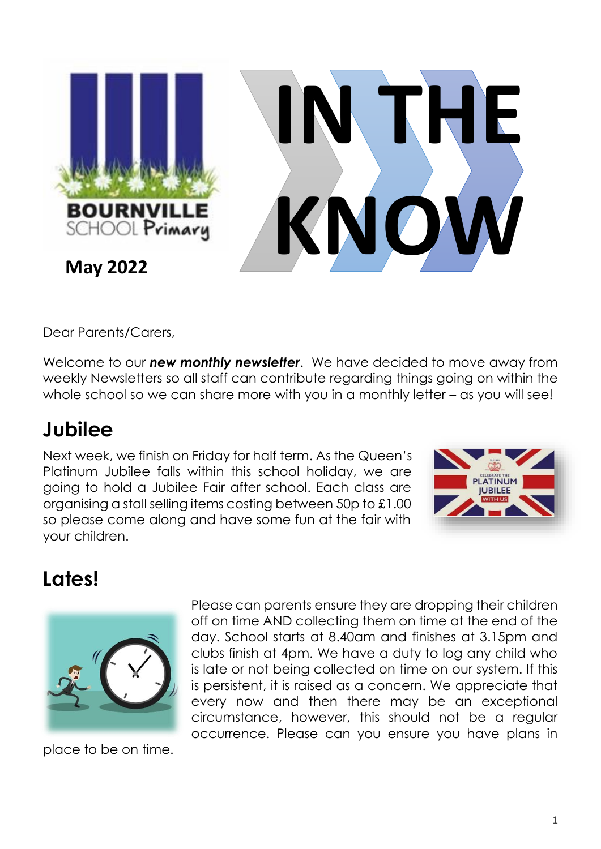

Dear Parents/Carers,

Welcome to our *new monthly newsletter*. We have decided to move away from weekly Newsletters so all staff can contribute regarding things going on within the whole school so we can share more with you in a monthly letter – as you will see!

#### **Jubilee**

Next week, we finish on Friday for half term. As the Queen's Platinum Jubilee falls within this school holiday, we are going to hold a Jubilee Fair after school. Each class are organising a stall selling items costing between 50p to £1.00 so please come along and have some fun at the fair with your children.



## **Lates!**



place to be on time.

Please can parents ensure they are dropping their children off on time AND collecting them on time at the end of the day. School starts at 8.40am and finishes at 3.15pm and clubs finish at 4pm. We have a duty to log any child who is late or not being collected on time on our system. If this is persistent, it is raised as a concern. We appreciate that every now and then there may be an exceptional circumstance, however, this should not be a regular occurrence. Please can you ensure you have plans in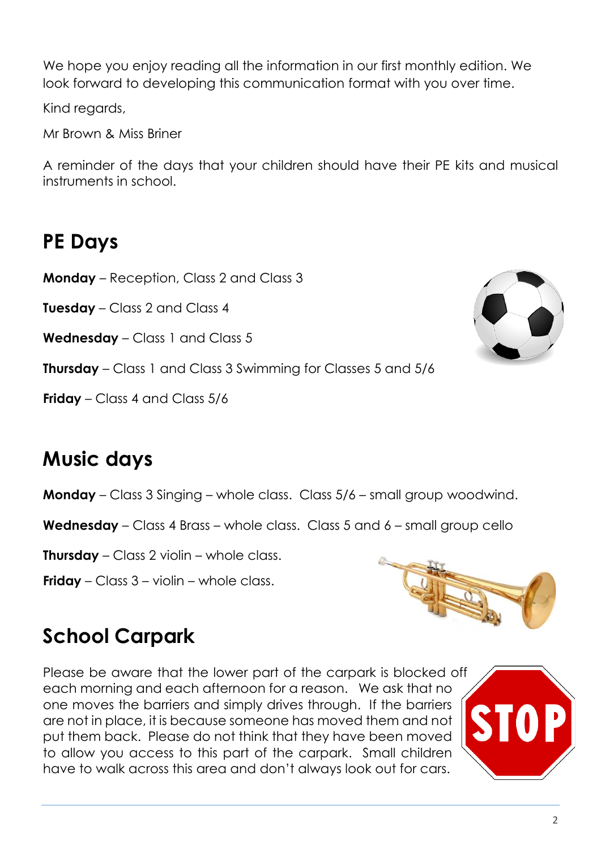look forward to developing this communication format with you over time.

We hope you enjoy reading all the information in our first monthly edition. We

Kind regards,

Mr Brown & Miss Briner

A reminder of the days that your children should have their PE kits and musical instruments in school.

#### **PE Days**

**Monday** – Reception, Class 2 and Class 3

**Tuesday** – Class 2 and Class 4

**Wednesday** – Class 1 and Class 5

**Thursday** – Class 1 and Class 3 Swimming for Classes 5 and 5/6

**Friday** – Class 4 and Class 5/6

#### **Music days**

**Monday** – Class 3 Singing – whole class. Class 5/6 – small group woodwind.

**Wednesday** – Class 4 Brass – whole class. Class 5 and 6 – small group cello

**Thursday** – Class 2 violin – whole class.

**Friday** – Class 3 – violin – whole class.



#### **School Carpark**

Please be aware that the lower part of the carpark is blocked off each morning and each afternoon for a reason. We ask that no one moves the barriers and simply drives through. If the barriers are not in place, it is because someone has moved them and not put them back. Please do not think that they have been moved to allow you access to this part of the carpark. Small children have to walk across this area and don't always look out for cars.



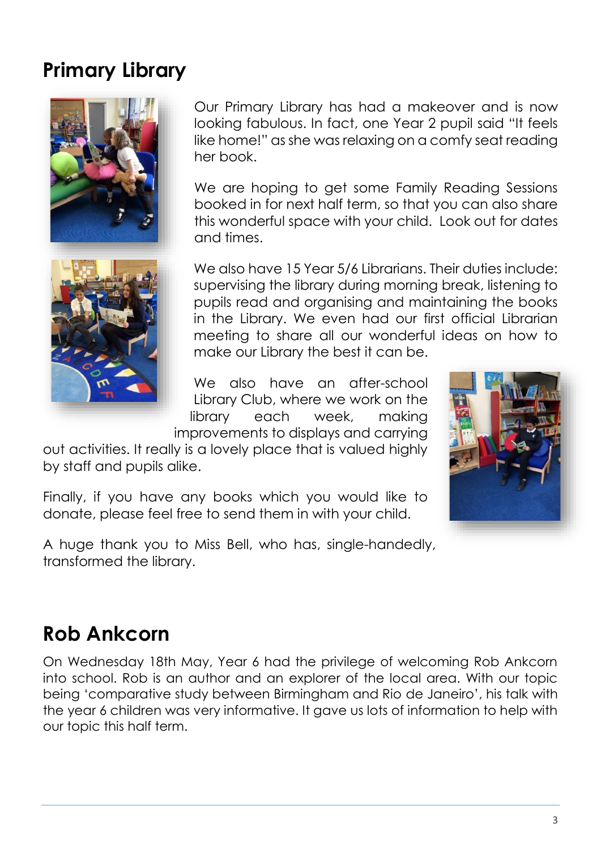#### **Primary Library**





Our Primary Library has had a makeover and is now looking fabulous. In fact, one Year 2 pupil said "It feels



We also have 15 Year 5/6 Librarians. Their duties include: supervising the library during morning break, listening to pupils read and organising and maintaining the books in the Library. We even had our first official Librarian meeting to share all our wonderful ideas on how to make our Library the best it can be.

We also have an after-school Library Club, where we work on the library each week, making improvements to displays and carrying

out activities. It really is a lovely place that is valued highly by staff and pupils alike.

and times.

Finally, if you have any books which you would like to donate, please feel free to send them in with your child.

A huge thank you to Miss Bell, who has, single-handedly, transformed the library.

#### **Rob Ankcorn**

On Wednesday 18th May, Year 6 had the privilege of welcoming Rob Ankcorn into school. Rob is an author and an explorer of the local area. With our topic being 'comparative study between Birmingham and Rio de Janeiro', his talk with the year 6 children was very informative. It gave us lots of information to help with our topic this half term.

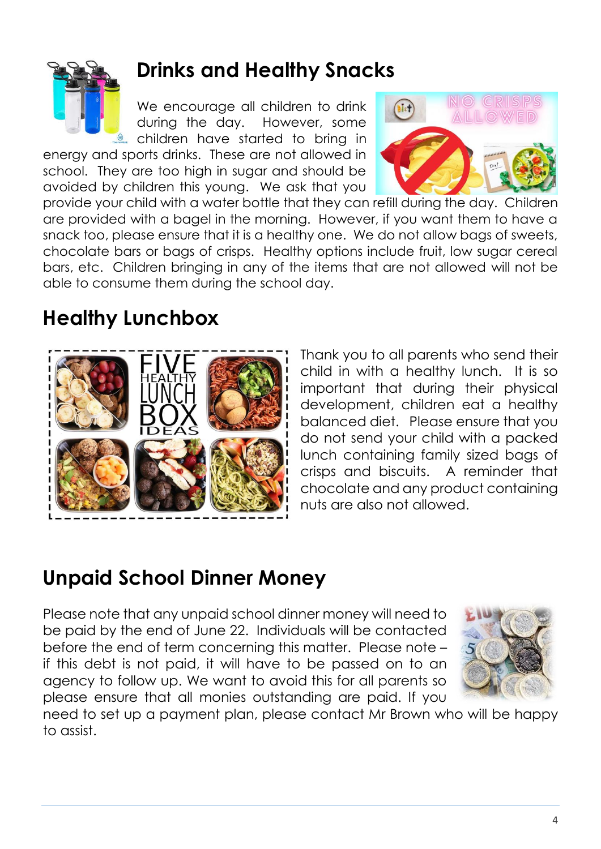

#### **Drinks and Healthy Snacks**

We encourage all children to drink during the day. However, some **C** children have started to bring in

energy and sports drinks. These are not allowed in school. They are too high in sugar and should be avoided by children this young. We ask that you



provide your child with a water bottle that they can refill during the day. Children are provided with a bagel in the morning. However, if you want them to have a snack too, please ensure that it is a healthy one. We do not allow bags of sweets, chocolate bars or bags of crisps. Healthy options include fruit, low sugar cereal bars, etc. Children bringing in any of the items that are not allowed will not be able to consume them during the school day.

#### **Healthy Lunchbox**



Thank you to all parents who send their child in with a healthy lunch. It is so important that during their physical development, children eat a healthy balanced diet. Please ensure that you do not send your child with a packed lunch containing family sized bags of crisps and biscuits. A reminder that chocolate and any product containing nuts are also not allowed.

#### **Unpaid School Dinner Money**

Please note that any unpaid school dinner money will need to be paid by the end of June 22. Individuals will be contacted before the end of term concerning this matter. Please note – if this debt is not paid, it will have to be passed on to an agency to follow up. We want to avoid this for all parents so please ensure that all monies outstanding are paid. If you



need to set up a payment plan, please contact Mr Brown who will be happy to assist.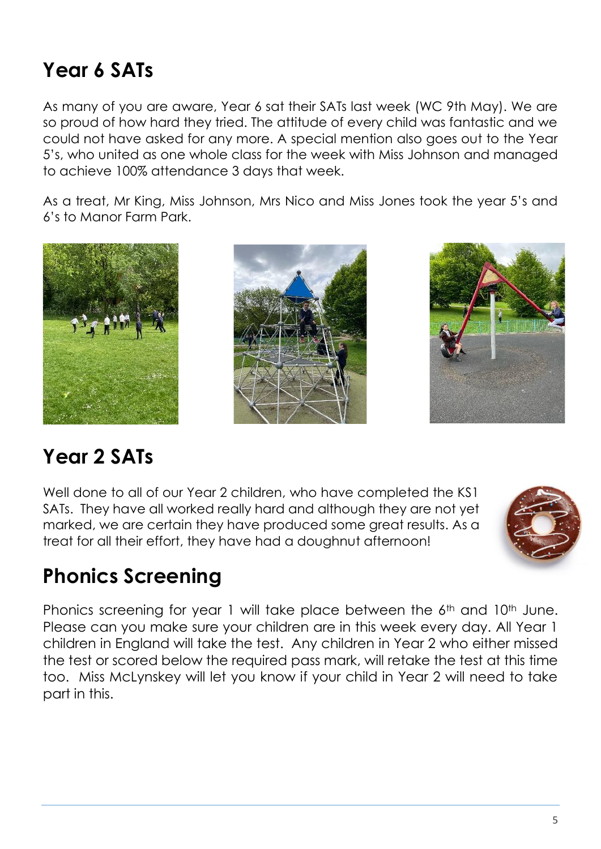#### **Year 6 SATs**

As many of you are aware, Year 6 sat their SATs last week (WC 9th May). We are so proud of how hard they tried. The attitude of every child was fantastic and we could not have asked for any more. A special mention also goes out to the Year 5's, who united as one whole class for the week with Miss Johnson and managed to achieve 100% attendance 3 days that week.

As a treat, Mr King, Miss Johnson, Mrs Nico and Miss Jones took the year 5's and 6's to Manor Farm Park.







## **Year 2 SATs**

Well done to all of our Year 2 children, who have completed the KS1 SATs. They have all worked really hard and although they are not yet marked, we are certain they have produced some great results. As a treat for all their effort, they have had a doughnut afternoon!



#### **Phonics Screening**

Phonics screening for year 1 will take place between the 6<sup>th</sup> and 10<sup>th</sup> June. Please can you make sure your children are in this week every day. All Year 1 children in England will take the test. Any children in Year 2 who either missed the test or scored below the required pass mark, will retake the test at this time too. Miss McLynskey will let you know if your child in Year 2 will need to take part in this.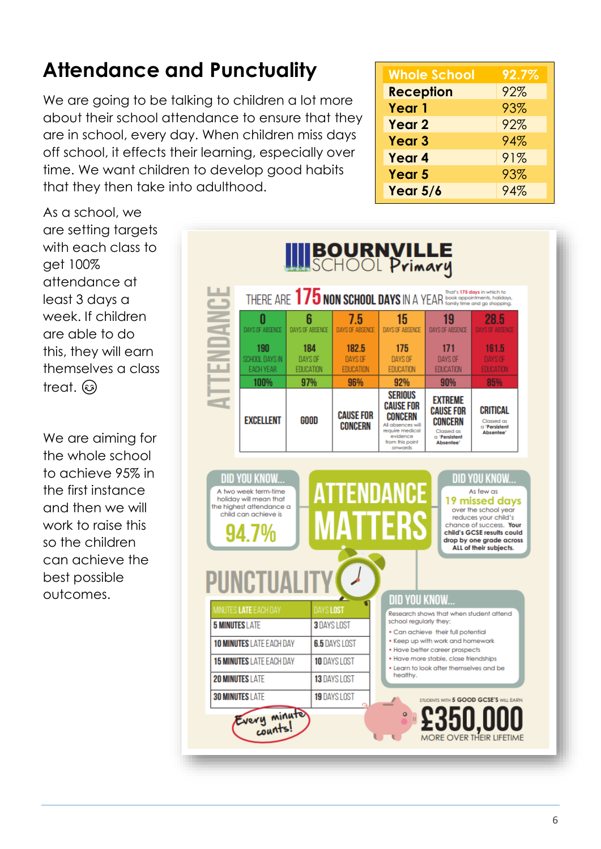# **Attendance and Punctuality**

We are going to be talking to children a lot more about their school attendance to ensure that they are in school, every day. When children miss days off school, it effects their learning, especially over time. We want children to develop good habits that they then take into adulthood.

**Whole School 92.7% Reception** 92% **Year 1** 93% **Year 2** 92% **Year 3** 94% **Year 4** 91% **Year 5** 93% **Year 5/6** 94%

As a school, we are setting targets with each class to get 100% attendance at least 3 days a week. If children are able to do this, they will earn themselves a class treat. ඹ

We are aiming for the whole school to achieve 95% in the first instance and then we will work to raise this so the children can achieve the best possible outcomes.

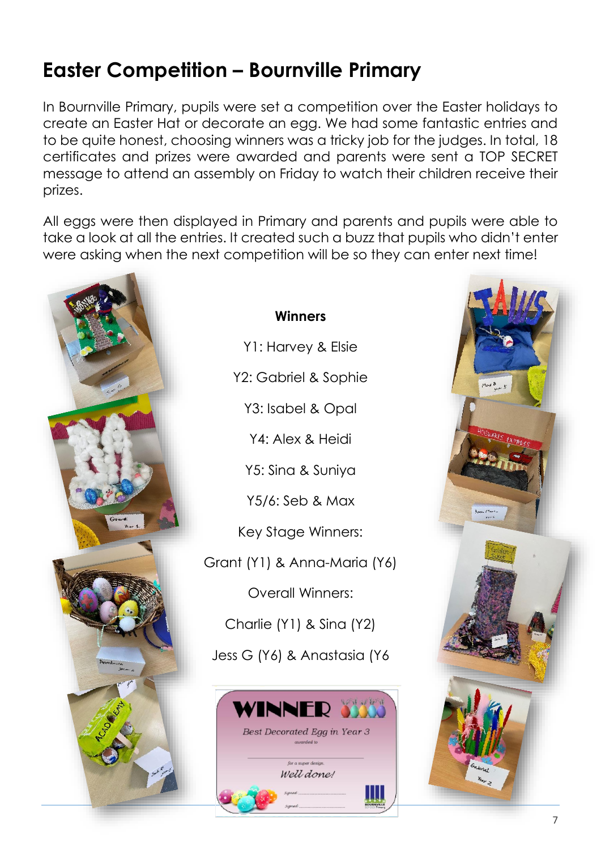## **Easter Competition – Bournville Primary**

In Bournville Primary, pupils were set a competition over the Easter holidays to create an Easter Hat or decorate an egg. We had some fantastic entries and to be quite honest, choosing winners was a tricky job for the judges. In total, 18 certificates and prizes were awarded and parents were sent a TOP SECRET message to attend an assembly on Friday to watch their children receive their prizes.

All eggs were then displayed in Primary and parents and pupils were able to take a look at all the entries. It created such a buzz that pupils who didn't enter were asking when the next competition will be so they can enter next time!